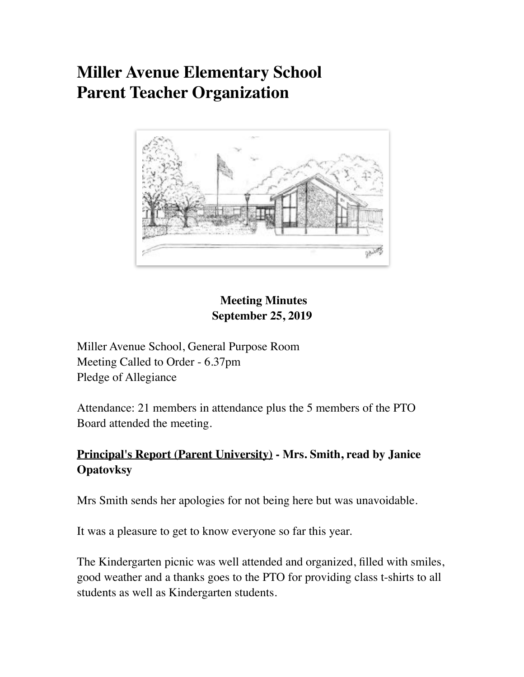# **Miller Avenue Elementary School Parent Teacher Organization**



## **Meeting Minutes September 25, 2019**

Miller Avenue School, General Purpose Room Meeting Called to Order - 6.37pm Pledge of Allegiance

Attendance: 21 members in attendance plus the 5 members of the PTO Board attended the meeting.

## **Principal's Report (Parent University) - Mrs. Smith, read by Janice Opatovksy**

Mrs Smith sends her apologies for not being here but was unavoidable.

It was a pleasure to get to know everyone so far this year.

The Kindergarten picnic was well attended and organized, filled with smiles, good weather and a thanks goes to the PTO for providing class t-shirts to all students as well as Kindergarten students.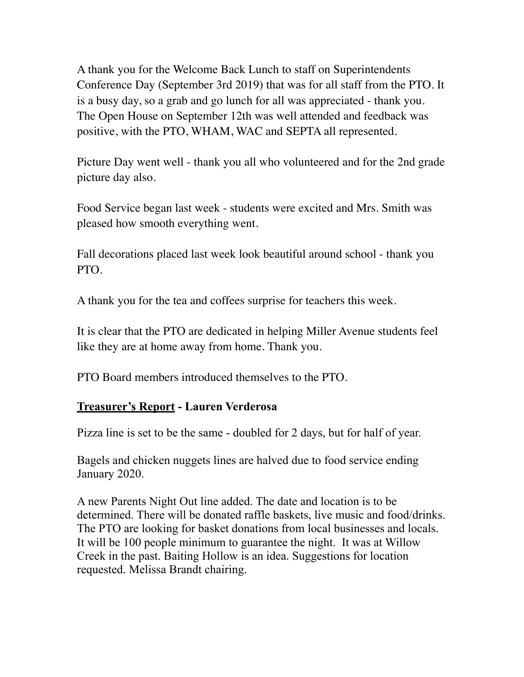A thank you for the Welcome Back Lunch to staff on Superintendents Conference Day (September 3rd 2019) that was for all staff from the PTO. It is a busy day, so a grab and go lunch for all was appreciated - thank you. The Open House on September 12th was well attended and feedback was positive, with the PTO, WHAM, WAC and SEPTA all represented.

Picture Day went well - thank you all who volunteered and for the 2nd grade picture day also.

Food Service began last week - students were excited and Mrs. Smith was pleased how smooth everything went.

Fall decorations placed last week look beautiful around school - thank you PTO.

A thank you for the tea and coffees surprise for teachers this week.

It is clear that the PTO are dedicated in helping Miller Avenue students feel like they are at home away from home. Thank you.

PTO Board members introduced themselves to the PTO.

#### **Treasurer's Report - Lauren Verderosa**

Pizza line is set to be the same - doubled for 2 days, but for half of year.

Bagels and chicken nuggets lines are halved due to food service ending January 2020.

A new Parents Night Out line added. The date and location is to be determined. There will be donated raffle baskets, live music and food/drinks. The PTO are looking for basket donations from local businesses and locals. It will be 100 people minimum to guarantee the night. It was at Willow Creek in the past. Baiting Hollow is an idea. Suggestions for location requested. Melissa Brandt chairing.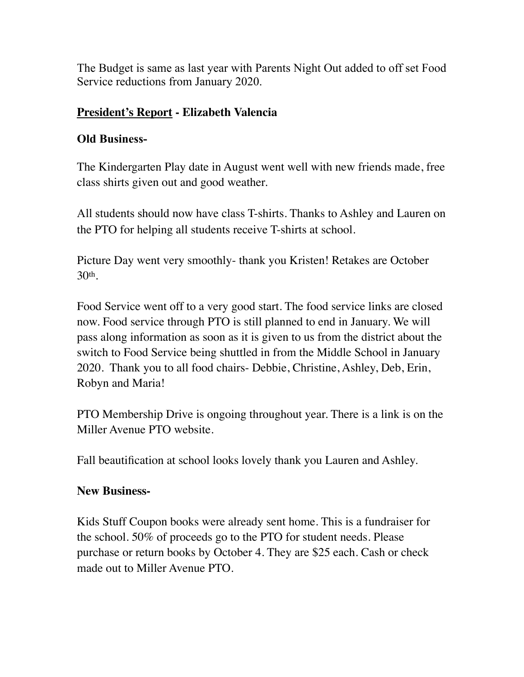The Budget is same as last year with Parents Night Out added to off set Food Service reductions from January 2020.

## **President's Report - Elizabeth Valencia**

### **Old Business-**

The Kindergarten Play date in August went well with new friends made, free class shirts given out and good weather.

All students should now have class T-shirts. Thanks to Ashley and Lauren on the PTO for helping all students receive T-shirts at school.

Picture Day went very smoothly- thank you Kristen! Retakes are October 30th.

Food Service went off to a very good start. The food service links are closed now. Food service through PTO is still planned to end in January. We will pass along information as soon as it is given to us from the district about the switch to Food Service being shuttled in from the Middle School in January 2020. Thank you to all food chairs- Debbie, Christine, Ashley, Deb, Erin, Robyn and Maria!

PTO Membership Drive is ongoing throughout year. There is a link is on the Miller Avenue PTO website.

Fall beautification at school looks lovely thank you Lauren and Ashley.

### **New Business-**

Kids Stuff Coupon books were already sent home. This is a fundraiser for the school. 50% of proceeds go to the PTO for student needs. Please purchase or return books by October 4. They are \$25 each. Cash or check made out to Miller Avenue PTO.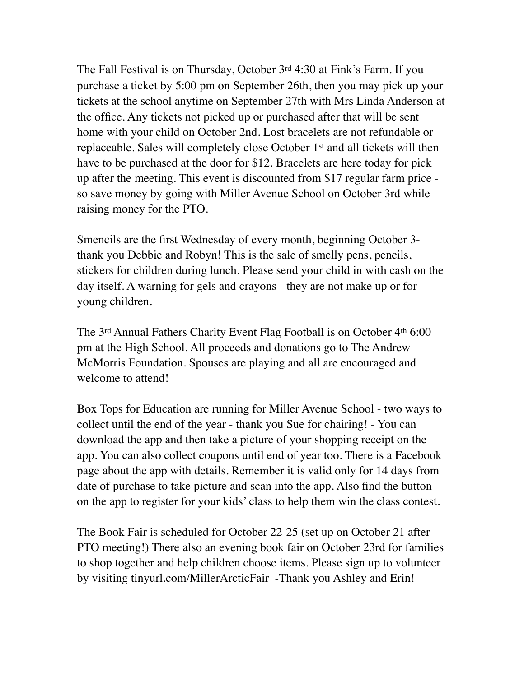The Fall Festival is on Thursday, October 3rd 4:30 at Fink's Farm. If you purchase a ticket by 5:00 pm on September 26th, then you may pick up your tickets at the school anytime on September 27th with Mrs Linda Anderson at the office. Any tickets not picked up or purchased after that will be sent home with your child on October 2nd. Lost bracelets are not refundable or replaceable. Sales will completely close October 1st and all tickets will then have to be purchased at the door for \$12. Bracelets are here today for pick up after the meeting. This event is discounted from \$17 regular farm price so save money by going with Miller Avenue School on October 3rd while raising money for the PTO.

Smencils are the first Wednesday of every month, beginning October 3 thank you Debbie and Robyn! This is the sale of smelly pens, pencils, stickers for children during lunch. Please send your child in with cash on the day itself. A warning for gels and crayons - they are not make up or for young children.

The 3rd Annual Fathers Charity Event Flag Football is on October 4th 6:00 pm at the High School. All proceeds and donations go to The Andrew McMorris Foundation. Spouses are playing and all are encouraged and welcome to attend!

Box Tops for Education are running for Miller Avenue School - two ways to collect until the end of the year - thank you Sue for chairing! - You can download the app and then take a picture of your shopping receipt on the app. You can also collect coupons until end of year too. There is a Facebook page about the app with details. Remember it is valid only for 14 days from date of purchase to take picture and scan into the app. Also find the button on the app to register for your kids' class to help them win the class contest.

The Book Fair is scheduled for October 22-25 (set up on October 21 after PTO meeting!) There also an evening book fair on October 23rd for families to shop together and help children choose items. Please sign up to volunteer by visiting tinyurl.com/MillerArcticFair -Thank you Ashley and Erin!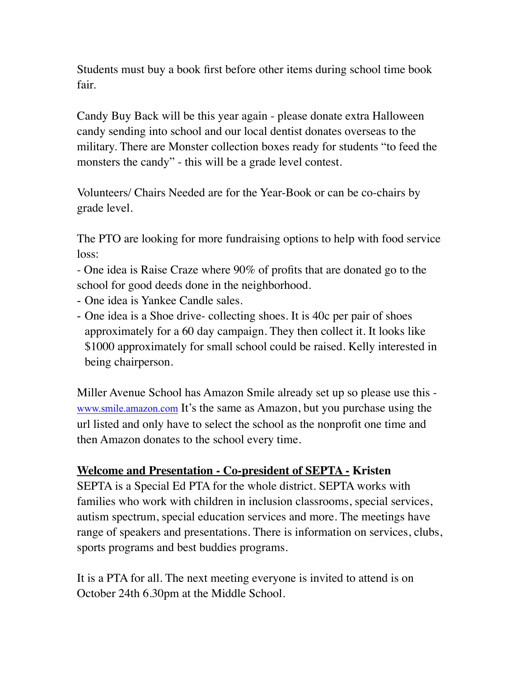Students must buy a book first before other items during school time book fair.

Candy Buy Back will be this year again - please donate extra Halloween candy sending into school and our local dentist donates overseas to the military. There are Monster collection boxes ready for students "to feed the monsters the candy" - this will be a grade level contest.

Volunteers/ Chairs Needed are for the Year-Book or can be co-chairs by grade level.

The PTO are looking for more fundraising options to help with food service loss:

- One idea is Raise Craze where 90% of profits that are donated go to the school for good deeds done in the neighborhood.

- One idea is Yankee Candle sales.
- One idea is a Shoe drive- collecting shoes. It is 40c per pair of shoes approximately for a 60 day campaign. They then collect it. It looks like \$1000 approximately for small school could be raised. Kelly interested in being chairperson.

Miller Avenue School has Amazon Smile already set up so please use this [www.smile.amazon.com](http://www.smile.amazon.com) It's the same as Amazon, but you purchase using the url listed and only have to select the school as the nonprofit one time and then Amazon donates to the school every time.

#### **Welcome and Presentation - Co-president of SEPTA - Kristen**

SEPTA is a Special Ed PTA for the whole district. SEPTA works with families who work with children in inclusion classrooms, special services, autism spectrum, special education services and more. The meetings have range of speakers and presentations. There is information on services, clubs, sports programs and best buddies programs.

It is a PTA for all. The next meeting everyone is invited to attend is on October 24th 6.30pm at the Middle School.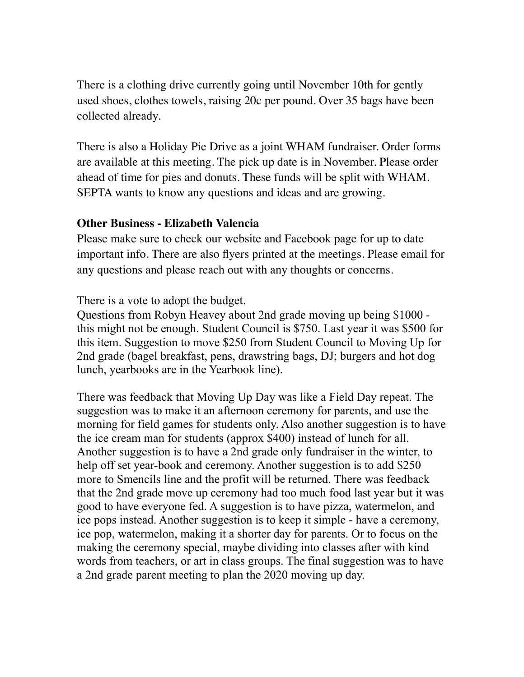There is a clothing drive currently going until November 10th for gently used shoes, clothes towels, raising 20c per pound. Over 35 bags have been collected already.

There is also a Holiday Pie Drive as a joint WHAM fundraiser. Order forms are available at this meeting. The pick up date is in November. Please order ahead of time for pies and donuts. These funds will be split with WHAM. SEPTA wants to know any questions and ideas and are growing.

#### **Other Business - Elizabeth Valencia**

Please make sure to check our website and Facebook page for up to date important info. There are also flyers printed at the meetings. Please email for any questions and please reach out with any thoughts or concerns.

There is a vote to adopt the budget.

Questions from Robyn Heavey about 2nd grade moving up being \$1000 this might not be enough. Student Council is \$750. Last year it was \$500 for this item. Suggestion to move \$250 from Student Council to Moving Up for 2nd grade (bagel breakfast, pens, drawstring bags, DJ; burgers and hot dog lunch, yearbooks are in the Yearbook line).

There was feedback that Moving Up Day was like a Field Day repeat. The suggestion was to make it an afternoon ceremony for parents, and use the morning for field games for students only. Also another suggestion is to have the ice cream man for students (approx \$400) instead of lunch for all. Another suggestion is to have a 2nd grade only fundraiser in the winter, to help off set year-book and ceremony. Another suggestion is to add \$250 more to Smencils line and the profit will be returned. There was feedback that the 2nd grade move up ceremony had too much food last year but it was good to have everyone fed. A suggestion is to have pizza, watermelon, and ice pops instead. Another suggestion is to keep it simple - have a ceremony, ice pop, watermelon, making it a shorter day for parents. Or to focus on the making the ceremony special, maybe dividing into classes after with kind words from teachers, or art in class groups. The final suggestion was to have a 2nd grade parent meeting to plan the 2020 moving up day.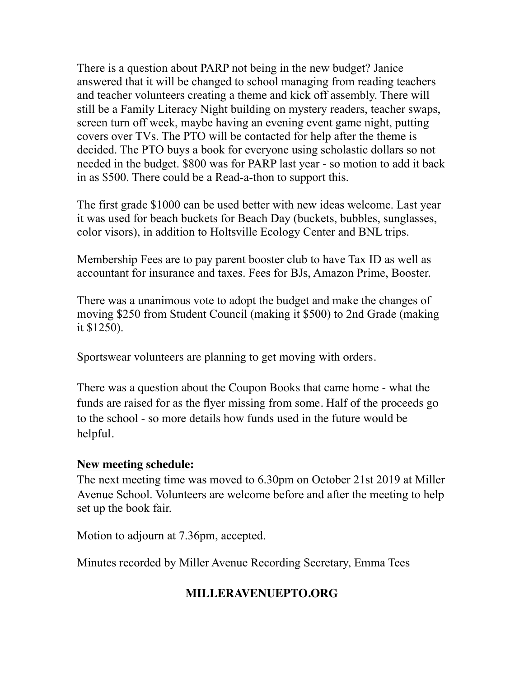There is a question about PARP not being in the new budget? Janice answered that it will be changed to school managing from reading teachers and teacher volunteers creating a theme and kick off assembly. There will still be a Family Literacy Night building on mystery readers, teacher swaps, screen turn off week, maybe having an evening event game night, putting covers over TVs. The PTO will be contacted for help after the theme is decided. The PTO buys a book for everyone using scholastic dollars so not needed in the budget. \$800 was for PARP last year - so motion to add it back in as \$500. There could be a Read-a-thon to support this.

The first grade \$1000 can be used better with new ideas welcome. Last year it was used for beach buckets for Beach Day (buckets, bubbles, sunglasses, color visors), in addition to Holtsville Ecology Center and BNL trips.

Membership Fees are to pay parent booster club to have Tax ID as well as accountant for insurance and taxes. Fees for BJs, Amazon Prime, Booster.

There was a unanimous vote to adopt the budget and make the changes of moving \$250 from Student Council (making it \$500) to 2nd Grade (making it \$1250).

Sportswear volunteers are planning to get moving with orders.

There was a question about the Coupon Books that came home - what the funds are raised for as the flyer missing from some. Half of the proceeds go to the school - so more details how funds used in the future would be helpful.

#### **New meeting schedule:**

The next meeting time was moved to 6.30pm on October 21st 2019 at Miller Avenue School. Volunteers are welcome before and after the meeting to help set up the book fair.

Motion to adjourn at 7.36pm, accepted.

Minutes recorded by Miller Avenue Recording Secretary, Emma Tees

## **MILLERAVENUEPTO.ORG**